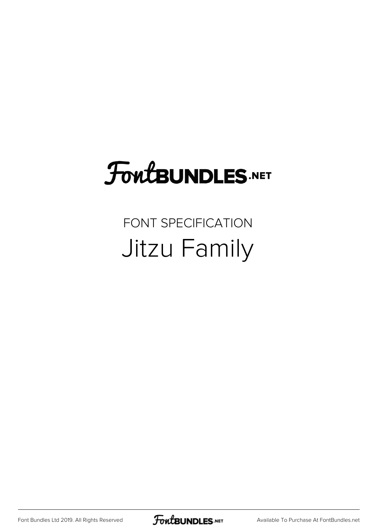## **FoutBUNDLES.NET**

### FONT SPECIFICATION Jitzu Family

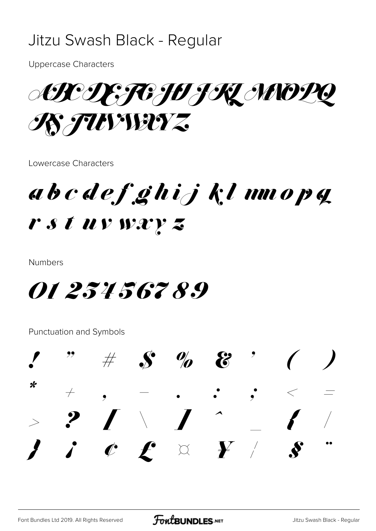### Jitzu Swash Black - Regular

**Uppercase Characters** 

**ABC DE TO HIL MODQ REFUNDERTZ** 

Lowercase Characters

abcdefghijklmnopq r s t uv wxy z

**Numbers** 

*01 234 567 89* 

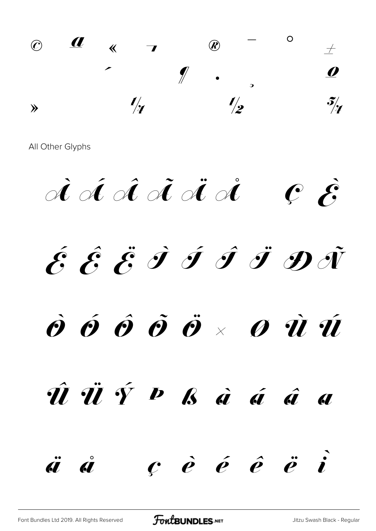© ª « ¬ ® ¯ ° ±  $2 \quad 3 \quad 2 \quad 1$  $\frac{1}{2}$   $\frac{1}{2}$   $\frac{5}{4}$ 

 $\dot{\mathscr{A}}$   $\dot{\mathscr{A}}$   $\dot{\mathscr{A}}$   $\dot{\mathscr{A}}$   $\dot{\mathscr{A}}$   $\dot{\mathscr{C}}$   $\dot{\mathscr{E}}$  $\acute{\mathcal{E}}\, \, \hat{\mathcal{E}}\, \, \ddot{\mathcal{G}}\, \, \dot{\mathcal{I}}\, \, \dot{\mathcal{J}}\, \, \ddot{\mathcal{J}}\, \, \ddot{\mathcal{J}}\, \, \ddot{\mathcal{J}}\, \, \ddot{\mathcal{J}}\, \, \ddot{\mathcal{J}}\,$  $\dot{\boldsymbol{\vartheta}}$   $\acute{\boldsymbol{\vartheta}}$   $\hat{\boldsymbol{\vartheta}}$   $\ddot{\boldsymbol{\vartheta}}$   $\ddot{\boldsymbol{\vartheta}}$   $\times$   $\boldsymbol{\vartheta}$   $\dot{\boldsymbol{u}}$   $\dot{\boldsymbol{u}}$  $\hat{\bm{\mathit{u}}}$   $\dot{\bm{\mathit{v}}}$   $\hat{\bm{\mathit{v}}}$   $\bm{\mathit{b}}$   $\dot{\bm{\mathit{a}}}$   $\dot{\bm{\mathit{a}}}$   $\hat{\bm{\mathit{a}}}$   $\bm{\mathit{a}}$ ä å ç è é ê ë ì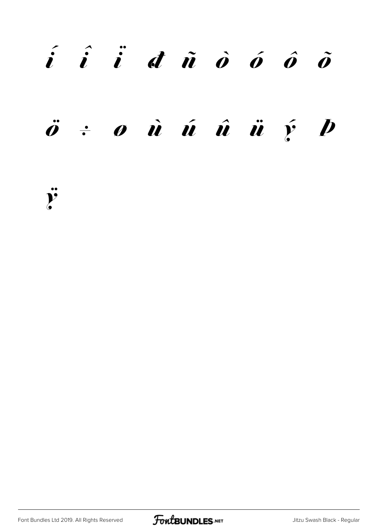# í î ï ð ñ ò ó ô õ  $\ddot{o}$   $\div$   $o$   $\dot{u}$   $\acute{u}$   $\ddot{u}$   $\ddot{u}$   $\acute{y}$   $\dot{p}$

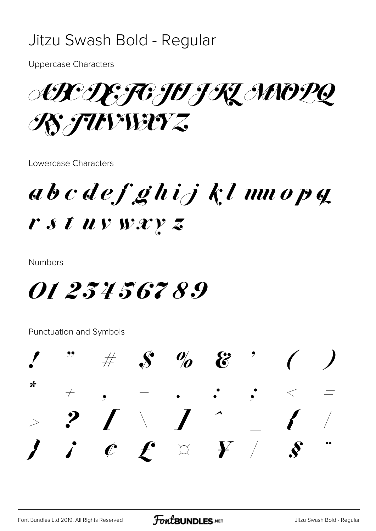### Jitzu Swash Bold - Regular

**Uppercase Characters** 

ARDE TO JO JRZ MOPQ **REFUNDETZ** 

Lowercase Characters

abcdefghijklmnopq r s t uv wxy z

**Numbers** 

*01 234 567 89* 

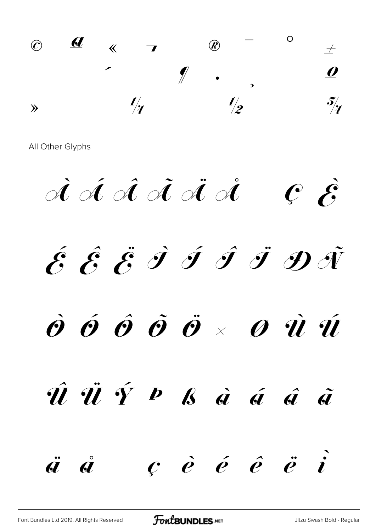© ª « ¬ ® ¯ ° ±  $2 \quad 3 \quad 2 \quad \text{all} \quad \text{\textcolor{red}{\{V_1, V_2, V_3, V_4, V_5, V_6, V_7, V_8, V_9, V_9, V_9, V_9, V_9, V_9, V_{10000}}\}$  $\frac{1}{2}$   $\frac{1}{2}$   $\frac{3}{4}$ 

 $\dot{\mathscr{A}}$   $\dot{\mathscr{A}}$   $\dot{\mathscr{A}}$   $\dot{\mathscr{A}}$   $\dot{\mathscr{A}}$   $\dot{\mathscr{C}}$   $\dot{\mathscr{E}}$  $\acute{\mathcal{E}}$   $\acute{\mathcal{E}}$   $\acute{\mathcal{E}}$   $\acute{\mathcal{I}}$   $\acute{\mathcal{I}}$   $\acute{\mathcal{I}}$   $\acute{\mathcal{I}}$   $\ddot{\mathcal{J}}$   $\ddot{\mathcal{J}}$  $\dot{\boldsymbol{\mathcal{O}}}$   $\dot{\boldsymbol{\mathcal{O}}}$   $\dot{\boldsymbol{\mathcal{O}}}$   $\ddot{\boldsymbol{\mathcal{O}}}$   $\times$   $\boldsymbol{\mathcal{O}}$   $\dot{\boldsymbol{\mathcal{U}}}$   $\dot{\boldsymbol{\mathcal{U}}}$ Û Ü Ý Þ ß à á â ã ä å ç è é ê ë ì

[Font Bundles Ltd 2019. All Rights Reserved](https://fontbundles.net/) **FoutBUNDLES.NET** [Jitzu Swash Bold - Regular](https://fontbundles.net/)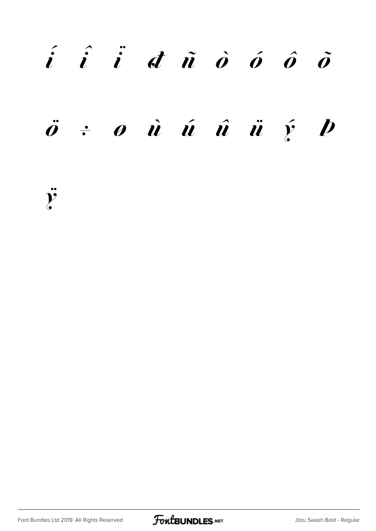# $\vec{i}$   $\hat{i}$   $\vec{d}$   $\vec{n}$   $\hat{o}$   $\hat{o}$   $\hat{o}$  $\ddot{o}$   $\div$   $o$   $\dot{u}$   $\acute{u}$   $\ddot{u}$   $\ddot{u}$   $\acute{y}$   $\dot{p}$

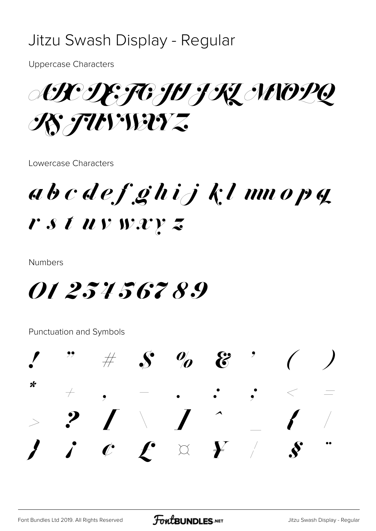### Jitzu Swash Display - Regular

**Uppercase Characters** 

AR DE FOJU J KL MOPQ R FUVIETZ

Lowercase Characters

abcdefghijklmnopq r s t uv wxy z

**Numbers** 

*01 234 567 89* 

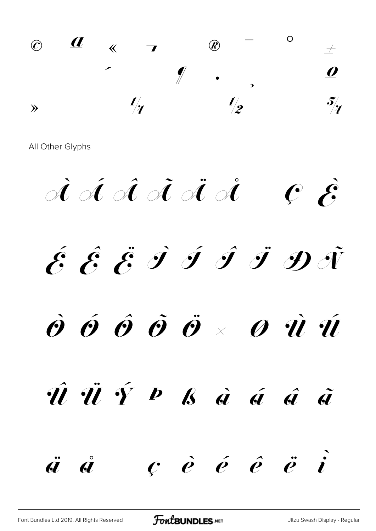$\circledcirc$   $\frac{d}{d}$   $\leftarrow$   $\bullet$   $\bullet$   $\circ$  $2 \quad 3 \quad 4 \quad 1 \quad 2 \quad 3$  $\frac{1}{4}$   $\frac{1}{2}$   $\frac{3}{4}$ 

 $\dot{\mathscr{A}}$   $\dot{\mathscr{A}}$   $\ddot{\mathscr{A}}$   $\dot{\mathscr{A}}$   $\ddot{\mathscr{C}}$   $\dot{\mathscr{E}}$  $\acute{\mathcal{E}}$   $\acute{\mathcal{E}}$   $\acute{\mathcal{E}}$   $\acute{\mathcal{I}}$   $\acute{\mathcal{I}}$   $\acute{\mathcal{I}}$   $\ddot{\mathcal{I}}$   $\ddot{\mathcal{D}}$   $\ddot{\mathcal{N}}$  $\dot{\mathcal{O}}$   $\acute{\mathcal{O}}$   $\dot{\mathcal{O}}$   $\ddot{\mathcal{O}}$   $\ddot{\mathcal{O}}$   $\times$   $\dot{\mathcal{O}}$   $\dot{\mathcal{U}}$   $\dot{\mathcal{U}}$ Û Ü Ý Þ ß à á â ã ä å ç è é ê ë ì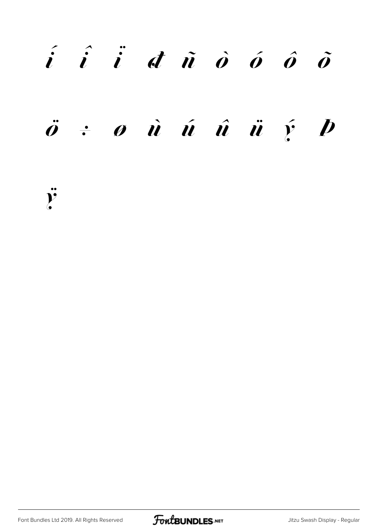# $\vec{i}$   $\hat{i}$   $\vec{d}$   $\vec{n}$   $\hat{o}$   $\hat{o}$   $\hat{o}$  $\ddot{o}$   $\dot{e}$   $o$   $\dot{u}$   $\dot{u}$   $\dot{u}$   $\dot{u}$   $\dot{y}$   $p$

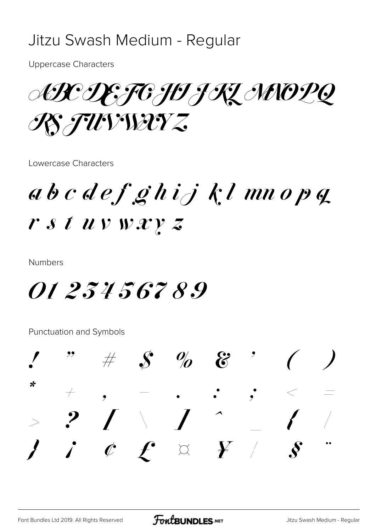### Jitzu Swash Medium - Regular

**Uppercase Characters** 

ARCIEFG FOJKZ MOPQ RS FUVWAYZ

Lowercase Characters

 $ab\ c\ de\ f\ g\ h\ i\ j\ k\ l\ mn\ o\ p\ q$  $r s t u v w x y z$ 

**Numbers** 

*01 234 567 8.9* 

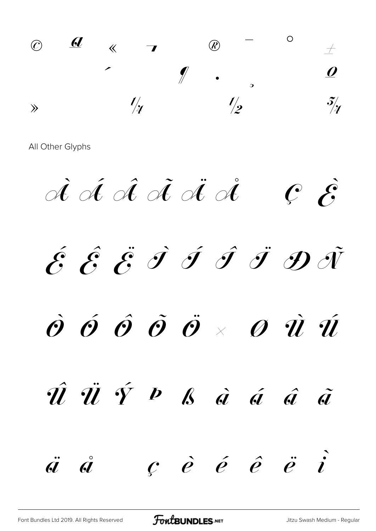© ª « ¬ ® ¯ ° ±  $2 \quad 3 \quad 2 \quad \mu \quad \ell \quad .$  $\frac{1}{4}$   $\frac{1}{2}$   $\frac{3}{4}$ 

 $\overrightarrow{A}$   $\overrightarrow{A}$   $\overrightarrow{A}$   $\overrightarrow{A}$   $\overrightarrow{C}$   $\overrightarrow{S}$  $\acute{\mathscr{E}} \hspace{1.9pt} \hat{\mathscr{E}} \hspace{1.9pt} \hat{\mathscr{F}} \hspace{1.9pt} \hat{\mathscr{F}} \hspace{1.9pt} \hat{\mathscr{F}} \hspace{1.9pt} \hat{\mathscr{F}} \hspace{1.9pt} \hat{\mathscr{F}} \hspace{1.9pt} \hat{\mathscr{F}} \hspace{1.9pt} \hat{\mathscr{F}} \hspace{1.9pt} \hat{\mathscr{F}}$  $\dot{\mathcal{O}}$   $\dot{\mathcal{O}}$   $\dot{\mathcal{O}}$   $\ddot{\mathcal{O}}$   $\dot{\mathcal{O}}$   $\times$   $\dot{\mathcal{O}}$   $\dot{\mathcal{U}}$   $\dot{\mathcal{U}}$ 

Û Ü Ý Þ ß à á â ã  $\ddot{a}$   $\dot{c}$   $\dot{e}$   $\acute{e}$   $\acute{e}$   $\ddot{e}$   $\ddot{i}$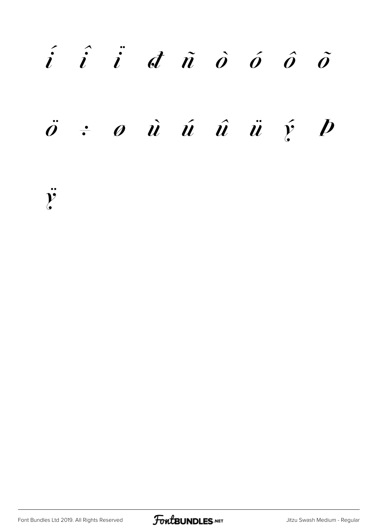# $\hat{i}$   $\hat{i}$   $\hat{d}$   $\hat{n}$   $\hat{o}$   $\hat{o}$   $\hat{o}$  $\ddot{o}$   $\div$   $o$   $\dot{u}$   $\acute{u}$   $\ddot{u}$   $\ddot{u}$   $\acute{y}$   $\dot{p}$

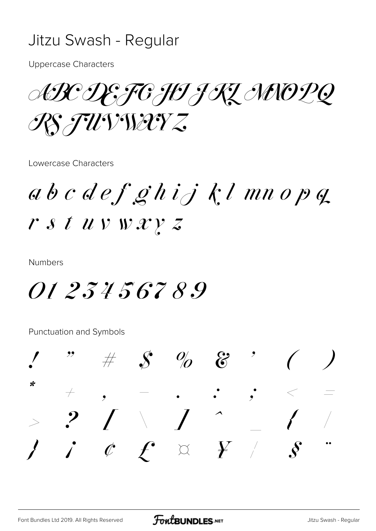### Jitzu Swash - Regular

**Uppercase Characters** 

ABC DE FG HI JRZ MNO PQ RS FUVWAYZ

Lowercase Characters

 $ab\ c\ de\ f\ g\ h\ i\ j\ k\ l\ mn\ o\ p\ q$  $r s t u v w x y z$ 

**Numbers** 

*0123456789* 

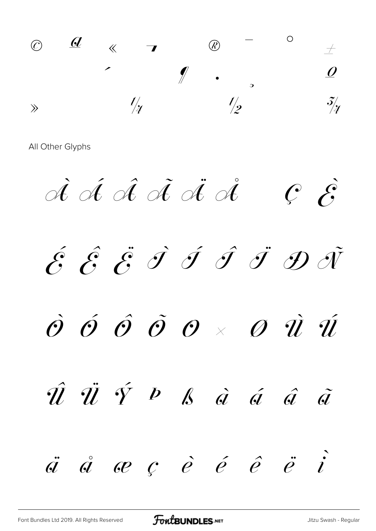© ª « ¬ ® ¯ ° ±  $2$   $3$   $\prime$   $\lrcorner$   $\lrcorner$   $\lrcorner$   $\lrcorner$   $\lrcorner$   $\lrcorner$  $\gg$   $\frac{l}{4}$   $\frac{l}{2}$   $\frac{3}{4}$ 

 $\overrightarrow{A}$   $\overrightarrow{A}$   $\overrightarrow{A}$   $\overrightarrow{A}$   $\overrightarrow{C}$   $\overrightarrow{S}$  $\acute{\mathscr{E}}$   $\acute{\mathscr{E}}$   $\acute{\mathscr{F}}$   $\acute{\mathscr{F}}$   $\acute{\mathscr{F}}$   $\acute{\mathscr{F}}$   $\ddot{\mathscr{F}}$   $\ddot{\mathscr{F}}$  $\dot{\mathcal{O}}$   $\acute{\mathcal{O}}$   $\mathcal{\tilde{O}}$   $\mathcal{\tilde{O}}$   $\times$   $\mathcal{\tilde{O}}$   $\dot{\mathcal{U}}$   $\dot{\mathcal{\tilde{U}}}$  $\hat{u}$   $\ddot{v}$   $\acute{v}$   $\dot{\beta}$   $\dot{\alpha}$   $\dot{\alpha}$   $\ddot{\alpha}$   $\ddot{\alpha}$  $\ddot{a}$   $\ddot{a}$   $\alpha$   $\dot{c}$   $\dot{e}$   $\dot{e}$   $\ddot{e}$   $\ddot{e}$   $\dot{i}$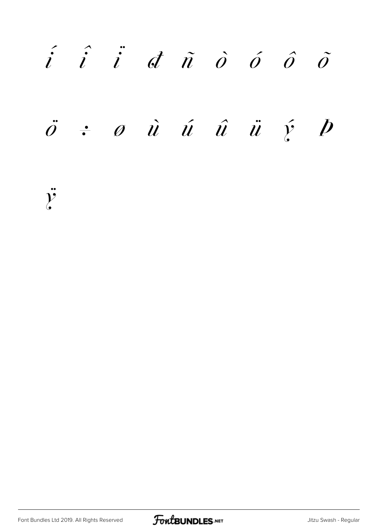$\begin{array}{ccc} \hat{i} & \hat{i} & \hat{i} & d \hat{n} & \hat{o} & \hat{o} & \hat{o} \end{array}$  $\ddot{o}$   $\div$   $\phi$   $\dot{u}$   $\acute{u}$   $\ddot{u}$   $\ddot{u}$   $\acute{y}$   $\dot{p}$ 

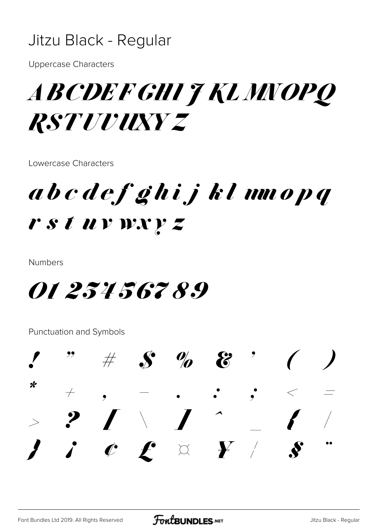### Jitzu Black - Regular

**Uppercase Characters** 

## *ABCDEFGHIT KLMIOPQ RSTUUUXYZ*

Lowercase Characters

### abcdef ghijklumopq rstuvwxyz

**Numbers** 

*01 234 567 89* 

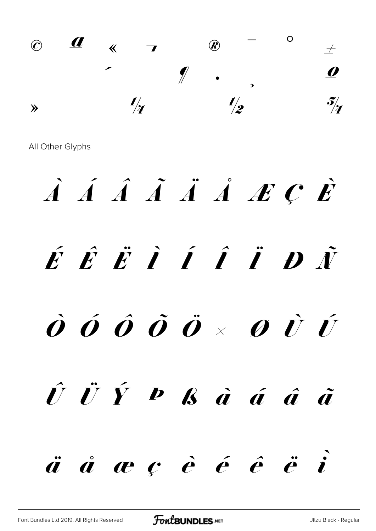

# À Á Â Ã Ä Å Æ Ç È  $\acute{E}$   $\acute{E}$   $\ddot{I}$   $\acute{I}$   $\acute{I}$   $\ddot{I}$   $\ddot{D}$   $\ddot{N}$  $\dot{\boldsymbol{0}}$   $\acute{\boldsymbol{0}}$   $\boldsymbol{0}$   $\ddot{\boldsymbol{0}}$   $\ddot{\boldsymbol{0}}$   $\times$   $\boldsymbol{0}$   $\dot{\boldsymbol{U}}$   $\acute{\boldsymbol{U}}$ Û Ü Ý Þ ß à á â ã  $\ddot{a}$   $\dot{a}$   $\dot{c}$   $\dot{c}$   $\dot{c}$   $\ddot{c}$   $\ddot{c}$   $\ddot{c}$   $\ddot{c}$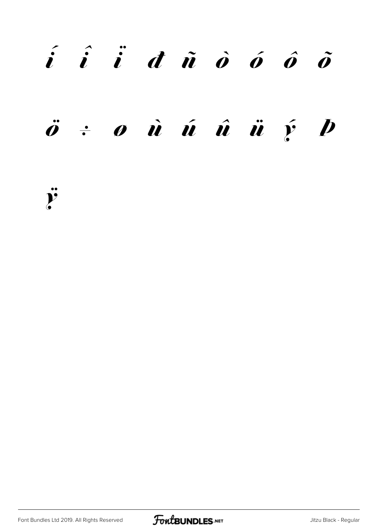## í î ï ð ñ ò ó ô õ

## $\ddot{o}$   $\div$   $o$   $\dot{u}$   $\acute{u}$   $\ddot{u}$   $\ddot{u}$   $\acute{y}$   $\dot{p}$



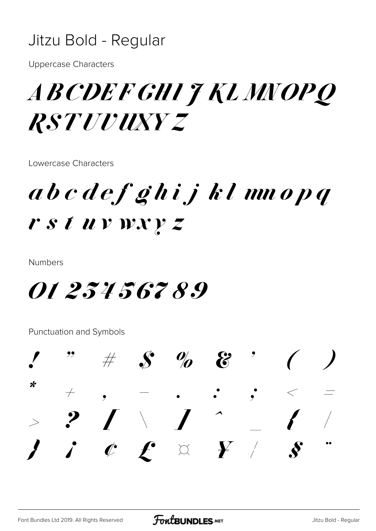### Jitzu Bold - Regular

**Uppercase Characters** 

## *ABCDEFGHIT KLMNOPQ RSTUUUXYZ*

Lowercase Characters

abcdef ghijklmnopq rstuvwxyz

**Numbers** 

*01 234 567 89* 

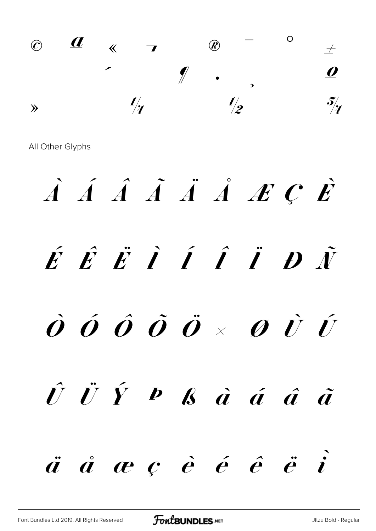

À Á Â Ã Ä Å Æ Ç È  $\acute{E}$   $\acute{E}$   $\ddot{I}$   $\acute{I}$   $\acute{I}$   $\ddot{I}$   $\ddot{D}$   $\ddot{N}$  $\dot{\bm{O}}$   $\hat{\bm{O}}$   $\hat{\bm{O}}$   $\hat{\bm{O}}$   $\ddot{\bm{O}}$   $\times$   $\bm{O}$   $\dot{\bm{U}}$   $\hat{\bm{U}}$  $\hat{U}$   $\ddot{U}$   $\hat{Y}$   $\hat{P}$   $\hat{B}$   $\dot{a}$   $\dot{a}$   $\hat{a}$   $\hat{a}$   $\hat{a}$  $\ddot{a}$   $\dot{a}$   $\dot{c}$   $\dot{c}$   $\dot{e}$   $\dot{e}$   $\ddot{e}$   $\dot{c}$   $\dot{c}$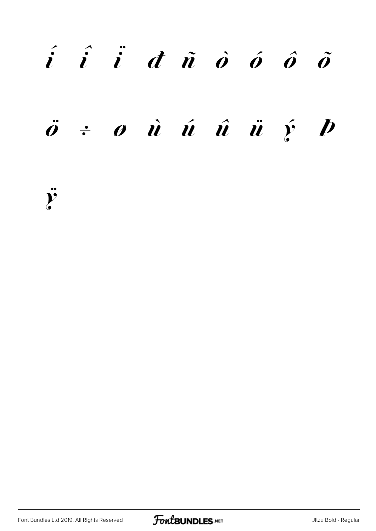# í î ï ð ñ ò ó ô õ  $\ddot{o}$   $\div$   $o$   $\dot{u}$   $\acute{u}$   $\ddot{u}$   $\ddot{u}$   $\acute{y}$   $\dot{p}$

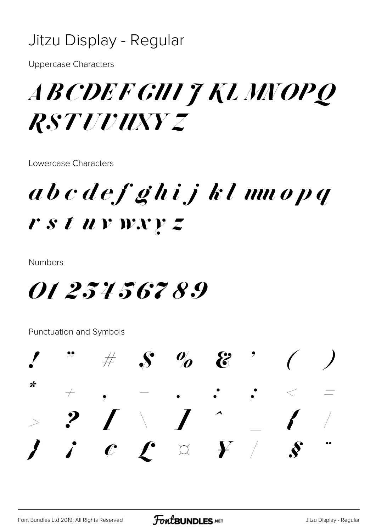### Jitzu Display - Regular

**Uppercase Characters** 

## *ABCDEFGHIT KLMNOPQ RSTUUUXYZ*

Lowercase Characters

abcdef ghijklmnopq rstuvwxyz

**Numbers** 

*01 234 567 89* 

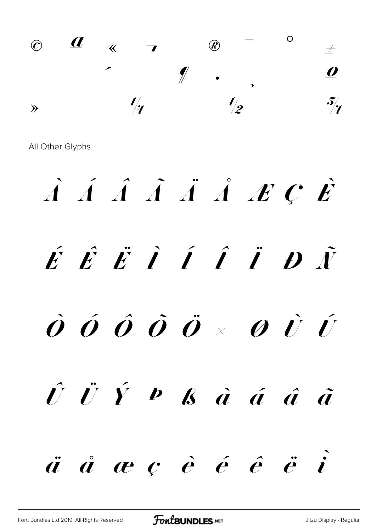

À Á Â Ã Ä Å Æ Ç È  $\acute{E}$   $\acute{E}$   $\ddot{I}$   $\acute{I}$   $\acute{I}$   $\ddot{I}$   $\ddot{D}$   $\ddot{N}$  $\dot{\bm{O}}$   $\hat{\bm{O}}$   $\hat{\bm{O}}$   $\hat{\bm{O}}$   $\hat{\bm{O}}$   $\times$   $\bm{O}$   $\hat{\bm{U}}$   $\hat{\bm{U}}$  $\hat{U}$   $\ddot{U}$   $\hat{Y}$   $\hat{P}$   $\hat{B}$   $\dot{a}$   $\dot{a}$   $\hat{a}$   $\hat{a}$   $\hat{a}$  $\ddot{a}$   $\dot{a}$   $\dot{c}$   $\dot{c}$   $\dot{c}$   $\ddot{c}$   $\ddot{c}$   $\ddot{c}$   $\ddot{c}$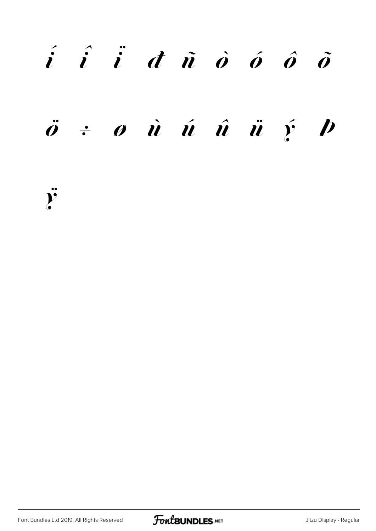## í î ï ð ñ ò ó ô õ  $\ddot{o}$   $\div$   $o$   $\dot{u}$   $\acute{u}$   $\ddot{u}$   $\ddot{u}$   $\acute{y}$   $\dot{p}$

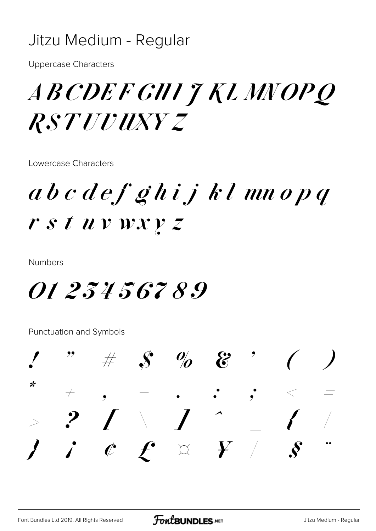### Jitzu Medium - Regular

**Uppercase Characters** 

## *ABCDEFGHIJKLMNOPQ RSTUUUXYZ*

Lowercase Characters

abcdef ghijklmnopq rstuvwxyz

**Numbers** 

*01 234 567 89* 

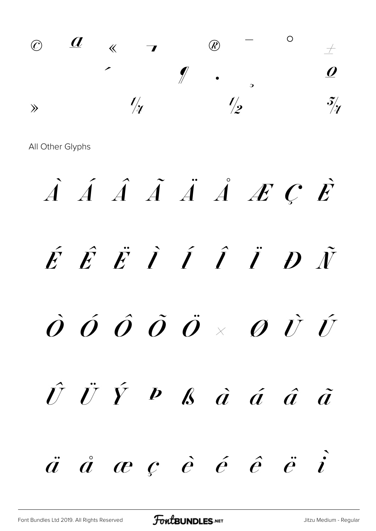

 $\hat{A}$   $\hat{A}$   $\hat{A}$   $\hat{A}$   $\hat{A}$   $\hat{A}$   $\hat{B}$   $\hat{C}$   $\hat{E}$  $\acute{E}$   $\acute{E}$   $\ddot{I}$   $\acute{I}$   $\acute{I}$   $\ddot{I}$   $\ddot{D}$   $\ddot{N}$  $\dot{\bm{O}}$   $\hat{\bm{O}}$   $\hat{\bm{O}}$   $\hat{\bm{O}}$   $\hat{\bm{O}}$   $\times$   $\bm{O}$   $\hat{\bm{U}}$   $\hat{\bm{U}}$  $\hat{U}$   $\ddot{U}$   $\hat{Y}$   $\hat{P}$   $\hat{B}$   $\dot{a}$   $\dot{a}$   $\hat{a}$   $\hat{a}$   $\hat{a}$   $\hat{a}$  $\ddot{a}$   $\dot{a}$   $\dot{c}$   $\dot{e}$   $\dot{e}$   $\dot{e}$   $\ddot{e}$   $\dot{c}$   $\dot{c}$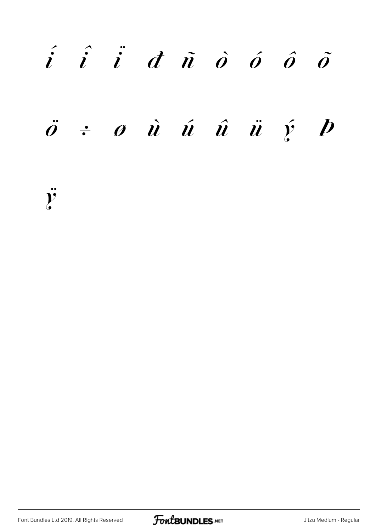## $\hat{i}$   $\hat{i}$   $\hat{d}$   $\hat{n}$   $\hat{o}$   $\hat{o}$   $\hat{o}$

## $\ddot{o}$   $\div$   $o$   $\dot{u}$   $\acute{u}$   $\ddot{u}$   $\ddot{u}$   $\acute{y}$   $D$

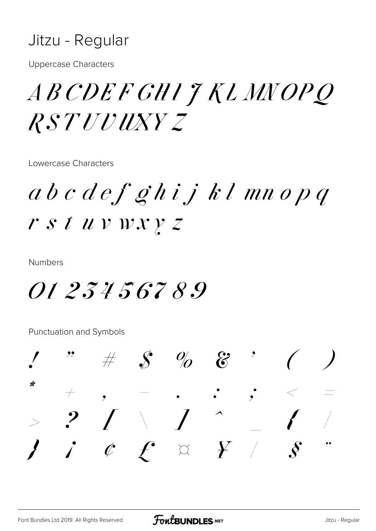### Jitzu - Regular

**Uppercase Characters** 

## *ABCDEFGHIJKLMNOPQ RSTUUUXYZ*

Lowercase Characters

 $a\,b\,c\,d\,e f$  ghij kl mnopq r s t uv wx y z

**Numbers** 

*0123456789* 

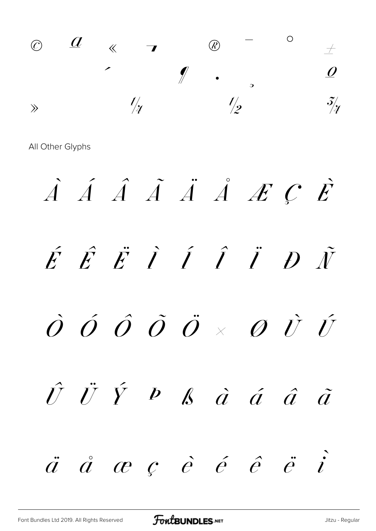© ª « ¬ ® ¯ ° ± ² ³ ´ µ ¶ · ¸ ¹ º  $\gg$   $\frac{l}{4}$   $\frac{l}{2}$   $\frac{3}{4}$ 

À Á Â Ã Ä Å Æ Ç È  $\acute{E}$   $\acute{E}$   $\ddot{I}$   $\acute{I}$   $\acute{I}$   $\ddot{I}$   $\ddot{D}$   $\ddot{\acute{V}}$  $\dot O$   $\dot O$   $\ddot O$   $\ddot O$   $\times$   $\dot O$   $\dot U$  $\hat{U}$   $\ddot{U}$   $\hat{Y}$   $\hat{P}$   $\hat{\mathcal{B}}$   $\hat{\mathcal{C}}$   $\hat{\mathcal{C}}$   $\hat{\mathcal{C}}$   $\hat{\mathcal{C}}$   $\hat{\mathcal{C}}$   $\hat{\mathcal{C}}$  $\ddot{a}$   $\ddot{a}$   $\alpha$   $c$   $\dot{e}$   $\acute{e}$   $\acute{e}$   $\ddot{e}$   $\ddot{i}$